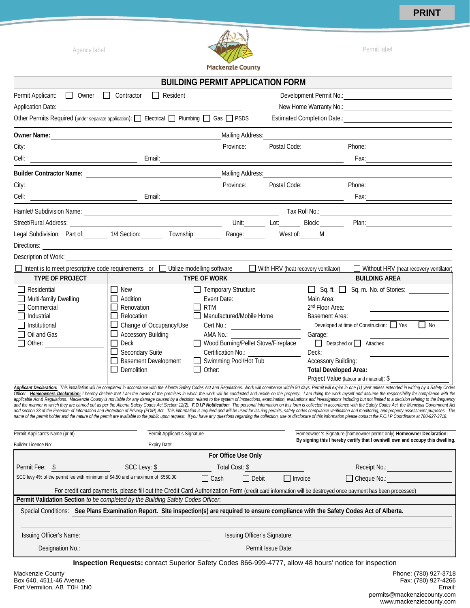**PRINT**



|                                                                                                                                                                                                                                 |                                                                                                                                                                                           | <b>BUILDING PERMIT APPLICATION FORM</b>                                                                                                                                                                     |                                     |                                                                                                               |                                                                                                                                                                                                                                                                                                                                                                                                                                                                                                                                                                                                                                                                                                                                                                                                                                                                                                                                                                                                                                                                                                                                                                                                                                                                                                                                                                                                                                                                                                                                                                                                                |
|---------------------------------------------------------------------------------------------------------------------------------------------------------------------------------------------------------------------------------|-------------------------------------------------------------------------------------------------------------------------------------------------------------------------------------------|-------------------------------------------------------------------------------------------------------------------------------------------------------------------------------------------------------------|-------------------------------------|---------------------------------------------------------------------------------------------------------------|----------------------------------------------------------------------------------------------------------------------------------------------------------------------------------------------------------------------------------------------------------------------------------------------------------------------------------------------------------------------------------------------------------------------------------------------------------------------------------------------------------------------------------------------------------------------------------------------------------------------------------------------------------------------------------------------------------------------------------------------------------------------------------------------------------------------------------------------------------------------------------------------------------------------------------------------------------------------------------------------------------------------------------------------------------------------------------------------------------------------------------------------------------------------------------------------------------------------------------------------------------------------------------------------------------------------------------------------------------------------------------------------------------------------------------------------------------------------------------------------------------------------------------------------------------------------------------------------------------------|
| Permit Applicant: 0 Owner 0 Contractor<br>Other Permits Required (under separate application): $\Box$ Electrical $\Box$ Plumbing $\Box$ Gas $\Box$ PSDS                                                                         | $\Box$ Resident                                                                                                                                                                           |                                                                                                                                                                                                             |                                     |                                                                                                               | New Home Warranty No.: 1994                                                                                                                                                                                                                                                                                                                                                                                                                                                                                                                                                                                                                                                                                                                                                                                                                                                                                                                                                                                                                                                                                                                                                                                                                                                                                                                                                                                                                                                                                                                                                                                    |
|                                                                                                                                                                                                                                 |                                                                                                                                                                                           | Mailing Address:                                                                                                                                                                                            |                                     |                                                                                                               |                                                                                                                                                                                                                                                                                                                                                                                                                                                                                                                                                                                                                                                                                                                                                                                                                                                                                                                                                                                                                                                                                                                                                                                                                                                                                                                                                                                                                                                                                                                                                                                                                |
|                                                                                                                                                                                                                                 |                                                                                                                                                                                           |                                                                                                                                                                                                             | Province: Postal Code:              |                                                                                                               | Phone: 2008 2010 2010 2010 2010 2010 2021 2022 2022 2022 2023 2024 2022 2023 2024 2022 2023 2024 2025 2026 202                                                                                                                                                                                                                                                                                                                                                                                                                                                                                                                                                                                                                                                                                                                                                                                                                                                                                                                                                                                                                                                                                                                                                                                                                                                                                                                                                                                                                                                                                                 |
|                                                                                                                                                                                                                                 |                                                                                                                                                                                           |                                                                                                                                                                                                             |                                     |                                                                                                               |                                                                                                                                                                                                                                                                                                                                                                                                                                                                                                                                                                                                                                                                                                                                                                                                                                                                                                                                                                                                                                                                                                                                                                                                                                                                                                                                                                                                                                                                                                                                                                                                                |
|                                                                                                                                                                                                                                 |                                                                                                                                                                                           |                                                                                                                                                                                                             |                                     |                                                                                                               |                                                                                                                                                                                                                                                                                                                                                                                                                                                                                                                                                                                                                                                                                                                                                                                                                                                                                                                                                                                                                                                                                                                                                                                                                                                                                                                                                                                                                                                                                                                                                                                                                |
|                                                                                                                                                                                                                                 |                                                                                                                                                                                           |                                                                                                                                                                                                             |                                     |                                                                                                               |                                                                                                                                                                                                                                                                                                                                                                                                                                                                                                                                                                                                                                                                                                                                                                                                                                                                                                                                                                                                                                                                                                                                                                                                                                                                                                                                                                                                                                                                                                                                                                                                                |
|                                                                                                                                                                                                                                 |                                                                                                                                                                                           |                                                                                                                                                                                                             |                                     |                                                                                                               |                                                                                                                                                                                                                                                                                                                                                                                                                                                                                                                                                                                                                                                                                                                                                                                                                                                                                                                                                                                                                                                                                                                                                                                                                                                                                                                                                                                                                                                                                                                                                                                                                |
|                                                                                                                                                                                                                                 |                                                                                                                                                                                           |                                                                                                                                                                                                             |                                     |                                                                                                               |                                                                                                                                                                                                                                                                                                                                                                                                                                                                                                                                                                                                                                                                                                                                                                                                                                                                                                                                                                                                                                                                                                                                                                                                                                                                                                                                                                                                                                                                                                                                                                                                                |
| Street/Rural Address:                                                                                                                                                                                                           |                                                                                                                                                                                           | <u>and the state of the state</u>                                                                                                                                                                           |                                     |                                                                                                               | Unit: Lot: Block: Plan:                                                                                                                                                                                                                                                                                                                                                                                                                                                                                                                                                                                                                                                                                                                                                                                                                                                                                                                                                                                                                                                                                                                                                                                                                                                                                                                                                                                                                                                                                                                                                                                        |
| Legal Subdivision: Part of: 1/4 Section: Township: Range: Range:                                                                                                                                                                |                                                                                                                                                                                           |                                                                                                                                                                                                             | West of: _______ M                  |                                                                                                               |                                                                                                                                                                                                                                                                                                                                                                                                                                                                                                                                                                                                                                                                                                                                                                                                                                                                                                                                                                                                                                                                                                                                                                                                                                                                                                                                                                                                                                                                                                                                                                                                                |
| Directions: Later and the contract of the contract of the contract of the contract of the contract of the contract of the contract of the contract of the contract of the contract of the contract of the contract of the cont  |                                                                                                                                                                                           |                                                                                                                                                                                                             |                                     |                                                                                                               |                                                                                                                                                                                                                                                                                                                                                                                                                                                                                                                                                                                                                                                                                                                                                                                                                                                                                                                                                                                                                                                                                                                                                                                                                                                                                                                                                                                                                                                                                                                                                                                                                |
| Description of Work:                                                                                                                                                                                                            |                                                                                                                                                                                           |                                                                                                                                                                                                             |                                     |                                                                                                               |                                                                                                                                                                                                                                                                                                                                                                                                                                                                                                                                                                                                                                                                                                                                                                                                                                                                                                                                                                                                                                                                                                                                                                                                                                                                                                                                                                                                                                                                                                                                                                                                                |
| $\Box$ Intent is to meet prescriptive code requirements or $\Box$ Utilize modelling software                                                                                                                                    |                                                                                                                                                                                           |                                                                                                                                                                                                             | With HRV (heat recovery ventilator) |                                                                                                               | Without HRV (heat recovery ventilator)                                                                                                                                                                                                                                                                                                                                                                                                                                                                                                                                                                                                                                                                                                                                                                                                                                                                                                                                                                                                                                                                                                                                                                                                                                                                                                                                                                                                                                                                                                                                                                         |
| <b>TYPE OF PROJECT</b>                                                                                                                                                                                                          |                                                                                                                                                                                           | <b>TYPE OF WORK</b>                                                                                                                                                                                         |                                     |                                                                                                               | <b>BUILDING AREA</b>                                                                                                                                                                                                                                                                                                                                                                                                                                                                                                                                                                                                                                                                                                                                                                                                                                                                                                                                                                                                                                                                                                                                                                                                                                                                                                                                                                                                                                                                                                                                                                                           |
| $\Box$ Residential<br>$\Box$ Multi-family Dwelling<br>$\Box$ Commercial<br>$\Box$ Industrial<br>$\Box$ Institutional<br>$\Box$ Oil and Gas<br>$\Box$ Other:                                                                     | $\Box$ New<br>Addition<br>Renovation<br>Relocation<br>Change of Occupancy/Use<br><b>Accessory Building</b><br><b>Deck</b><br>Secondary Suite<br><b>Basement Development</b><br>Demolition | $\Box$ Temporary Structure<br><b>RTM</b><br>$\mathbf{I}$<br>Manufactured/Mobile Home<br>AMA No.:<br>Wood Burning/Pellet Stove/Fireplace<br>Certification No.:<br>Swimming Pool/Hot Tub<br>$\perp$<br>Other: |                                     | Main Area:<br>2 <sup>nd</sup> Floor Area:<br>Basement Area:<br>Garage:<br>Deck:<br><b>Accessory Building:</b> | □ Sq. ft. □ Sq. m. No. of Stories:<br>Developed at time of Construction: Ves<br>$\Box$ No<br>Detached or <b>Attached</b><br><b>Total Developed Area:</b><br>Project Value (labour and material): \$<br>Applicant Declaration: This installation will be completed in accordance with the Alberta Safety Codes Act and Regulations. Work will commence within 90 days. Permit will expire in one (1) year unless extended in writing b<br>Officer. Homeowners Declaration: I hereby declare that I am the owner of the premises in which the work will be conducted and reside on the property. I am doing the work myself and assume the responsibility for compliance<br>applicable Act & Regulations. Mackenzie County is not liable for any damage caused by a decision related to the system of inspections, examination, evaluations and investigations including but not limited to a decision rel<br>and the manner in which they are carried out as per the Alberta Safety Codes Act Section 12(2). F.O.I.P Notification: The personal Information on this form is collected in accordance with the Safety Codes Act, the Municipa<br>and section 33 of the Freedom of Information and Protection of Privacy (FOIP) Act. This information is required and will be used for issuing permits, safety codes compliance verification and monitoring, and property assess<br>name of the permit holder and the nature of the permit are available to the public upon request. If you have any questions regarding the collection, use or disclosure of this information please contact the F.O.I.P Coordina |
| Permit Applicant's Name (print)                                                                                                                                                                                                 | Permit Applicant's Signature                                                                                                                                                              |                                                                                                                                                                                                             |                                     |                                                                                                               | Homeowner 's Signature (homeowner permit only) Homeowner Declaration:<br>By signing this I hereby certify that I own/will own and occupy this dwelling.                                                                                                                                                                                                                                                                                                                                                                                                                                                                                                                                                                                                                                                                                                                                                                                                                                                                                                                                                                                                                                                                                                                                                                                                                                                                                                                                                                                                                                                        |
| Builder Licence No:                                                                                                                                                                                                             | Expiry Date:                                                                                                                                                                              |                                                                                                                                                                                                             |                                     |                                                                                                               |                                                                                                                                                                                                                                                                                                                                                                                                                                                                                                                                                                                                                                                                                                                                                                                                                                                                                                                                                                                                                                                                                                                                                                                                                                                                                                                                                                                                                                                                                                                                                                                                                |
|                                                                                                                                                                                                                                 |                                                                                                                                                                                           | For Office Use Only                                                                                                                                                                                         |                                     |                                                                                                               |                                                                                                                                                                                                                                                                                                                                                                                                                                                                                                                                                                                                                                                                                                                                                                                                                                                                                                                                                                                                                                                                                                                                                                                                                                                                                                                                                                                                                                                                                                                                                                                                                |
| Permit Fee: \$                                                                                                                                                                                                                  | SCC Levy: \$                                                                                                                                                                              | Total Cost: \$                                                                                                                                                                                              |                                     |                                                                                                               | Receipt No.:                                                                                                                                                                                                                                                                                                                                                                                                                                                                                                                                                                                                                                                                                                                                                                                                                                                                                                                                                                                                                                                                                                                                                                                                                                                                                                                                                                                                                                                                                                                                                                                                   |
| SCC levy 4% of the permit fee with minimum of \$4.50 and a maximum of \$560.00                                                                                                                                                  |                                                                                                                                                                                           | $\Box$ Cash<br>$\Box$ Debit                                                                                                                                                                                 | $\Box$ Invoice                      |                                                                                                               | $\Box$ Cheque No.:                                                                                                                                                                                                                                                                                                                                                                                                                                                                                                                                                                                                                                                                                                                                                                                                                                                                                                                                                                                                                                                                                                                                                                                                                                                                                                                                                                                                                                                                                                                                                                                             |
|                                                                                                                                                                                                                                 | For credit card payments, please fill out the Credit Card Authorization Form (credit card information will be destroyed once payment has been processed)                                  |                                                                                                                                                                                                             |                                     |                                                                                                               |                                                                                                                                                                                                                                                                                                                                                                                                                                                                                                                                                                                                                                                                                                                                                                                                                                                                                                                                                                                                                                                                                                                                                                                                                                                                                                                                                                                                                                                                                                                                                                                                                |
| Permit Validation Section to be completed by the Building Safety Codes Officer.<br>Special Conditions: See Plans Examination Report. Site inspection(s) are required to ensure compliance with the Safety Codes Act of Alberta. |                                                                                                                                                                                           |                                                                                                                                                                                                             |                                     |                                                                                                               |                                                                                                                                                                                                                                                                                                                                                                                                                                                                                                                                                                                                                                                                                                                                                                                                                                                                                                                                                                                                                                                                                                                                                                                                                                                                                                                                                                                                                                                                                                                                                                                                                |
| Issuing Officer's Name:                                                                                                                                                                                                         |                                                                                                                                                                                           | Issuing Officer's Signature:                                                                                                                                                                                |                                     |                                                                                                               |                                                                                                                                                                                                                                                                                                                                                                                                                                                                                                                                                                                                                                                                                                                                                                                                                                                                                                                                                                                                                                                                                                                                                                                                                                                                                                                                                                                                                                                                                                                                                                                                                |
| Designation No.:                                                                                                                                                                                                                |                                                                                                                                                                                           |                                                                                                                                                                                                             | Permit Issue Date:                  |                                                                                                               |                                                                                                                                                                                                                                                                                                                                                                                                                                                                                                                                                                                                                                                                                                                                                                                                                                                                                                                                                                                                                                                                                                                                                                                                                                                                                                                                                                                                                                                                                                                                                                                                                |
|                                                                                                                                                                                                                                 |                                                                                                                                                                                           |                                                                                                                                                                                                             |                                     |                                                                                                               |                                                                                                                                                                                                                                                                                                                                                                                                                                                                                                                                                                                                                                                                                                                                                                                                                                                                                                                                                                                                                                                                                                                                                                                                                                                                                                                                                                                                                                                                                                                                                                                                                |